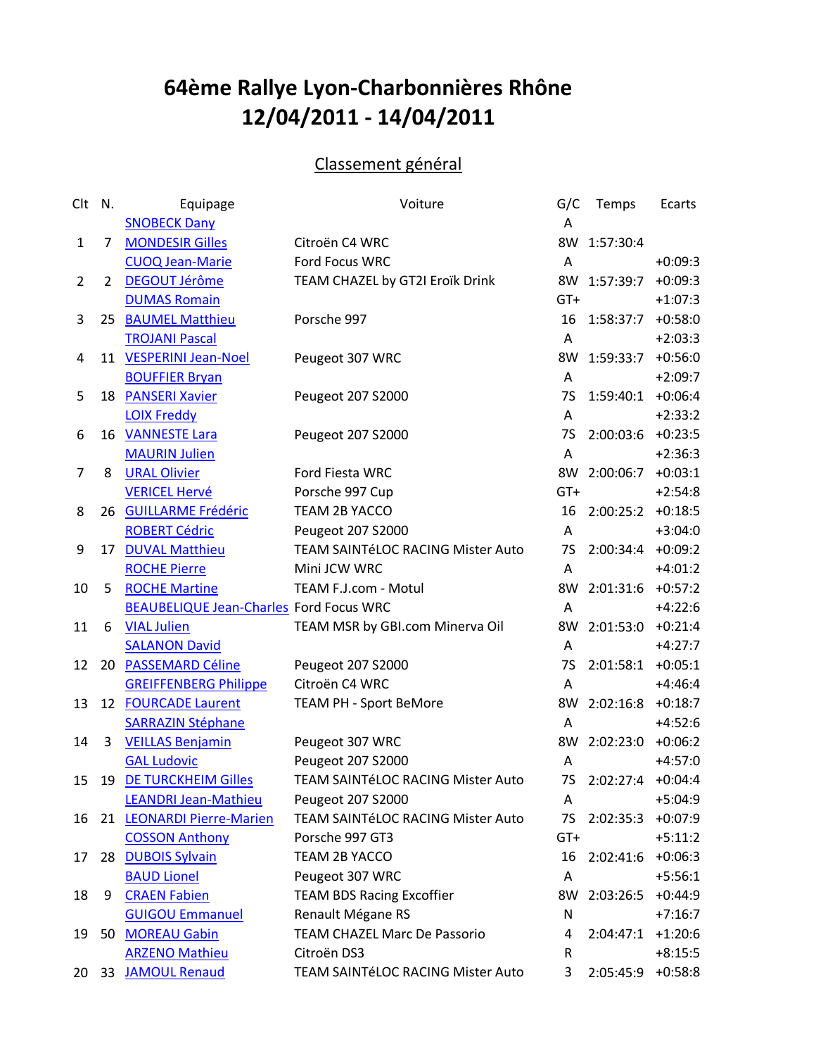## **64ème Rallye Lyon-Charbonnières Rhône 12/04/2011 - 14/04/2011**

## Classement général

| Clt            | N.             | Equipage                                       | Voiture                             | G/C       | Temps                | Ecarts    |
|----------------|----------------|------------------------------------------------|-------------------------------------|-----------|----------------------|-----------|
|                |                | <b>SNOBECK Dany</b>                            |                                     | Α         |                      |           |
| 1              | 7              | <b>MONDESIR Gilles</b>                         | Citroën C4 WRC                      | 8W        | 1:57:30:4            |           |
|                |                | <b>CUOQ Jean-Marie</b>                         | Ford Focus WRC                      | A         |                      | $+0:09:3$ |
| $\overline{2}$ | $\overline{2}$ | <b>DEGOUT Jérôme</b>                           | TEAM CHAZEL by GT2I Eroïk Drink     | 8W        | 1:57:39:7            | $+0:09:3$ |
|                |                | <b>DUMAS Romain</b>                            |                                     | $GT+$     |                      | $+1:07:3$ |
| 3              |                | 25 BAUMEL Matthieu                             | Porsche 997                         | 16        | 1:58:37:7 +0:58:0    |           |
|                |                | <b>TROJANI Pascal</b>                          |                                     | A         |                      | $+2:03:3$ |
| 4              |                | 11 VESPERINI Jean-Noel                         | Peugeot 307 WRC                     | 8W        | 1:59:33:7            | $+0:56:0$ |
|                |                | <b>BOUFFIER Bryan</b>                          |                                     | A         |                      | $+2:09:7$ |
| 5              |                | 18 PANSERI Xavier                              | Peugeot 207 S2000                   | 7S        | 1:59:40:1 +0:06:4    |           |
|                |                | <b>LOIX Freddy</b>                             |                                     | A         |                      | $+2:33:2$ |
| 6              |                | 16 VANNESTE Lara                               | Peugeot 207 S2000                   | <b>7S</b> | 2:00:03:6            | $+0:23:5$ |
|                |                | <b>MAURIN Julien</b>                           |                                     | Α         |                      | $+2:36:3$ |
| 7              | 8              | <b>URAL Olivier</b>                            | Ford Fiesta WRC                     |           | 8W 2:00:06:7 +0:03:1 |           |
|                |                | <b>VERICEL Hervé</b>                           | Porsche 997 Cup                     | GT+       |                      | $+2:54:8$ |
| 8              |                | 26 GUILLARME Frédéric                          | TEAM 2B YACCO                       | 16        | $2:00:25:2$ +0:18:5  |           |
|                |                | <b>ROBERT Cédric</b>                           | Peugeot 207 S2000                   | A         |                      | $+3:04:0$ |
| 9              |                | 17 DUVAL Matthieu                              | TEAM SAINTÉLOC RACING Mister Auto   | 7S        | 2:00:34:4            | $+0:09:2$ |
|                |                | <b>ROCHE Pierre</b>                            | Mini JCW WRC                        | A         |                      | $+4:01:2$ |
| 10             | 5              | <b>ROCHE Martine</b>                           | TEAM F.J.com - Motul                |           | 8W 2:01:31:6 +0:57:2 |           |
|                |                | <b>BEAUBELIQUE Jean-Charles Ford Focus WRC</b> |                                     | A         |                      | $+4:22:6$ |
| 11             | 6              | <b>VIAL Julien</b>                             | TEAM MSR by GBI.com Minerva Oil     | 8W        | 2:01:53:0            | $+0:21:4$ |
|                |                | <b>SALANON David</b>                           |                                     | A         |                      | $+4:27:7$ |
| 12             |                | 20 PASSEMARD Céline                            | Peugeot 207 S2000                   | 7S        | $2:01:58:1$ +0:05:1  |           |
|                |                | <b>GREIFFENBERG Philippe</b>                   | Citroën C4 WRC                      | Α         |                      | $+4:46:4$ |
| 13             |                | 12 FOURCADE Laurent                            | TEAM PH - Sport BeMore              | 8W        | $2:02:16:8$ +0:18:7  |           |
|                |                | <b>SARRAZIN Stéphane</b>                       |                                     | A         |                      | $+4:52:6$ |
| 14             | 3              | <b>VEILLAS Benjamin</b>                        | Peugeot 307 WRC                     | 8W        | 2:02:23:0 +0:06:2    |           |
|                |                | <b>GAL Ludovic</b>                             | Peugeot 207 S2000                   | A         |                      | $+4:57:0$ |
| 15             |                | 19 DE TURCKHEIM Gilles                         | TEAM SAINTÉLOC RACING Mister Auto   | 7S        | 2:02:27:4 +0:04:4    |           |
|                |                | <b>LEANDRI Jean-Mathieu</b>                    | Peugeot 207 S2000                   | Α         |                      | $+5:04:9$ |
| 16             |                | 21 LEONARDI Pierre-Marien                      | TEAM SAINTéLOC RACING Mister Auto   | <b>7S</b> | 2:02:35:3            | $+0:07:9$ |
|                |                | <b>COSSON Anthony</b>                          | Porsche 997 GT3                     | GT+       |                      | $+5:11:2$ |
| 17             |                | 28 DUBOIS Sylvain                              | TEAM 2B YACCO                       | 16        | 2:02:41:6            | $+0:06:3$ |
|                |                | <b>BAUD Lionel</b>                             | Peugeot 307 WRC                     | Α         |                      | $+5:56:1$ |
| 18             | 9              | <b>CRAEN Fabien</b>                            | <b>TEAM BDS Racing Excoffier</b>    | 8W        | 2:03:26:5            | $+0:44:9$ |
|                |                | <b>GUIGOU Emmanuel</b>                         | Renault Mégane RS                   | N         |                      | $+7:16:7$ |
| 19             |                | 50 MOREAU Gabin                                | <b>TEAM CHAZEL Marc De Passorio</b> | 4         | 2:04:47:1            | $+1:20:6$ |
|                |                | <b>ARZENO Mathieu</b>                          | Citroën DS3                         | R         |                      | $+8:15:5$ |
| 20             | 33             | <b>JAMOUL Renaud</b>                           | TEAM SAINTéLOC RACING Mister Auto   | 3         | 2:05:45:9            | $+0:58:8$ |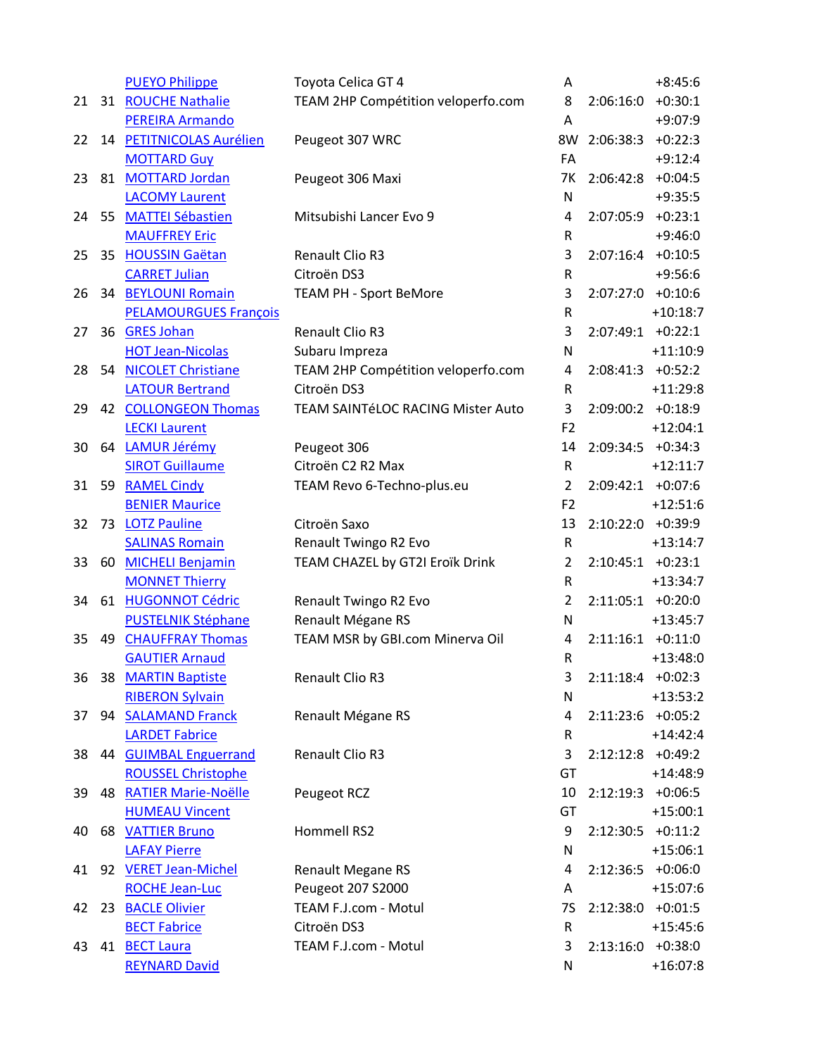|    |    | <b>PUEYO Philippe</b>        | Toyota Celica GT 4                 | Α              |                     | $+8:45:6$  |
|----|----|------------------------------|------------------------------------|----------------|---------------------|------------|
| 21 |    | 31 ROUCHE Nathalie           | TEAM 2HP Compétition veloperfo.com | 8              | 2:06:16:0           | $+0:30:1$  |
|    |    | <b>PEREIRA Armando</b>       |                                    | A              |                     | $+9:07:9$  |
| 22 |    | 14 PETITNICOLAS Aurélien     | Peugeot 307 WRC                    | 8W             | 2:06:38:3           | $+0:22:3$  |
|    |    | <b>MOTTARD Guy</b>           |                                    | FA             |                     | $+9:12:4$  |
| 23 |    | 81 MOTTARD Jordan            | Peugeot 306 Maxi                   | 7К             | $2:06:42:8$ +0:04:5 |            |
|    |    | <b>LACOMY Laurent</b>        |                                    | N              |                     | $+9:35:5$  |
| 24 |    | 55 MATTEI Sébastien          | Mitsubishi Lancer Evo 9            | 4              | 2:07:05:9 +0:23:1   |            |
|    |    | <b>MAUFFREY Eric</b>         |                                    | R              |                     | $+9:46:0$  |
| 25 |    | 35 HOUSSIN Gaëtan            | Renault Clio R3                    | 3              | $2:07:16:4$ +0:10:5 |            |
|    |    | <b>CARRET Julian</b>         | Citroën DS3                        | R              |                     | $+9:56:6$  |
| 26 |    | 34 BEYLOUNI Romain           | <b>TEAM PH - Sport BeMore</b>      | 3              | $2:07:27:0$ +0:10:6 |            |
|    |    | <b>PELAMOURGUES François</b> |                                    | ${\sf R}$      |                     | $+10:18:7$ |
| 27 |    | 36 GRES Johan                | Renault Clio R3                    | 3              | 2:07:49:1           | $+0:22:1$  |
|    |    | <b>HOT Jean-Nicolas</b>      | Subaru Impreza                     | N              |                     | $+11:10:9$ |
| 28 |    | 54 NICOLET Christiane        | TEAM 2HP Compétition veloperfo.com | 4              | $2:08:41:3$ +0:52:2 |            |
|    |    | <b>LATOUR Bertrand</b>       | Citroën DS3                        | R              |                     | $+11:29:8$ |
| 29 |    | 42 COLLONGEON Thomas         | TEAM SAINTÉLOC RACING Mister Auto  | 3              | $2:09:00:2$ +0:18:9 |            |
|    |    | <b>LECKI Laurent</b>         |                                    | F <sub>2</sub> |                     | $+12:04:1$ |
| 30 |    | 64 LAMUR Jérémy              | Peugeot 306                        | 14             | 2:09:34:5           | $+0:34:3$  |
|    |    | <b>SIROT Guillaume</b>       | Citroën C2 R2 Max                  | ${\sf R}$      |                     | $+12:11:7$ |
| 31 |    | 59 RAMEL Cindy               | TEAM Revo 6-Techno-plus.eu         | $\overline{2}$ | 2:09:42:1 +0:07:6   |            |
|    |    | <b>BENIER Maurice</b>        |                                    | F <sub>2</sub> |                     | $+12:51:6$ |
| 32 |    | 73 LOTZ Pauline              | Citroën Saxo                       | 13             | 2:10:22:0           | +0:39:9    |
|    |    | <b>SALINAS Romain</b>        | Renault Twingo R2 Evo              | R              |                     | $+13:14:7$ |
| 33 | 60 | <b>MICHELI Benjamin</b>      | TEAM CHAZEL by GT2I Eroïk Drink    | 2              | $2:10:45:1$ +0:23:1 |            |
|    |    | <b>MONNET Thierry</b>        |                                    | R              |                     | $+13:34:7$ |
| 34 |    | 61 HUGONNOT Cédric           | Renault Twingo R2 Evo              | $\overline{2}$ | $2:11:05:1$ +0:20:0 |            |
|    |    | <b>PUSTELNIK Stéphane</b>    | Renault Mégane RS                  | N              |                     | $+13:45:7$ |
| 35 | 49 | <b>CHAUFFRAY Thomas</b>      | TEAM MSR by GBI.com Minerva Oil    | 4              | 2:11:16:1           | $+0:11:0$  |
|    |    | <b>GAUTIER Arnaud</b>        |                                    | R              |                     | $+13:48:0$ |
| 36 |    | 38 MARTIN Baptiste           | Renault Clio R3                    | 3              | $2:11:18:4$ +0:02:3 |            |
|    |    | <b>RIBERON Sylvain</b>       |                                    | N              |                     | $+13:53:2$ |
| 37 |    | 94 SALAMAND Franck           | Renault Mégane RS                  | 4              | $2:11:23:6$ +0:05:2 |            |
|    |    | <b>LARDET Fabrice</b>        |                                    | R              |                     | $+14:42:4$ |
| 38 |    | 44 GUIMBAL Enguerrand        | Renault Clio R3                    | 3              | $2:12:12:8$ +0:49:2 |            |
|    |    | <b>ROUSSEL Christophe</b>    |                                    | GT             |                     | $+14:48:9$ |
| 39 |    | 48 RATIER Marie-Noëlle       | Peugeot RCZ                        | 10             | $2:12:19:3$ +0:06:5 |            |
|    |    | <b>HUMEAU Vincent</b>        |                                    | GT             |                     | $+15:00:1$ |
| 40 |    | <b>68 VATTIER Bruno</b>      | Hommell RS2                        | 9              | $2:12:30:5$ +0:11:2 |            |
|    |    | <b>LAFAY Pierre</b>          |                                    | N              |                     | $+15:06:1$ |
| 41 |    | 92 VERET Jean-Michel         | <b>Renault Megane RS</b>           | 4              | $2:12:36:5$ +0:06:0 |            |
|    |    | <b>ROCHE Jean-Luc</b>        | Peugeot 207 S2000                  | A              |                     | $+15:07:6$ |
| 42 |    | 23 BACLE Olivier             | TEAM F.J.com - Motul               | 7S             | $2:12:38:0$ +0:01:5 |            |
|    |    | <b>BECT Fabrice</b>          | Citroën DS3                        | $\mathsf R$    |                     | $+15:45:6$ |
| 43 |    | 41 BECT Laura                | TEAM F.J.com - Motul               | 3              | $2:13:16:0$ +0:38:0 |            |
|    |    | <b>REYNARD David</b>         |                                    | N              |                     | $+16:07:8$ |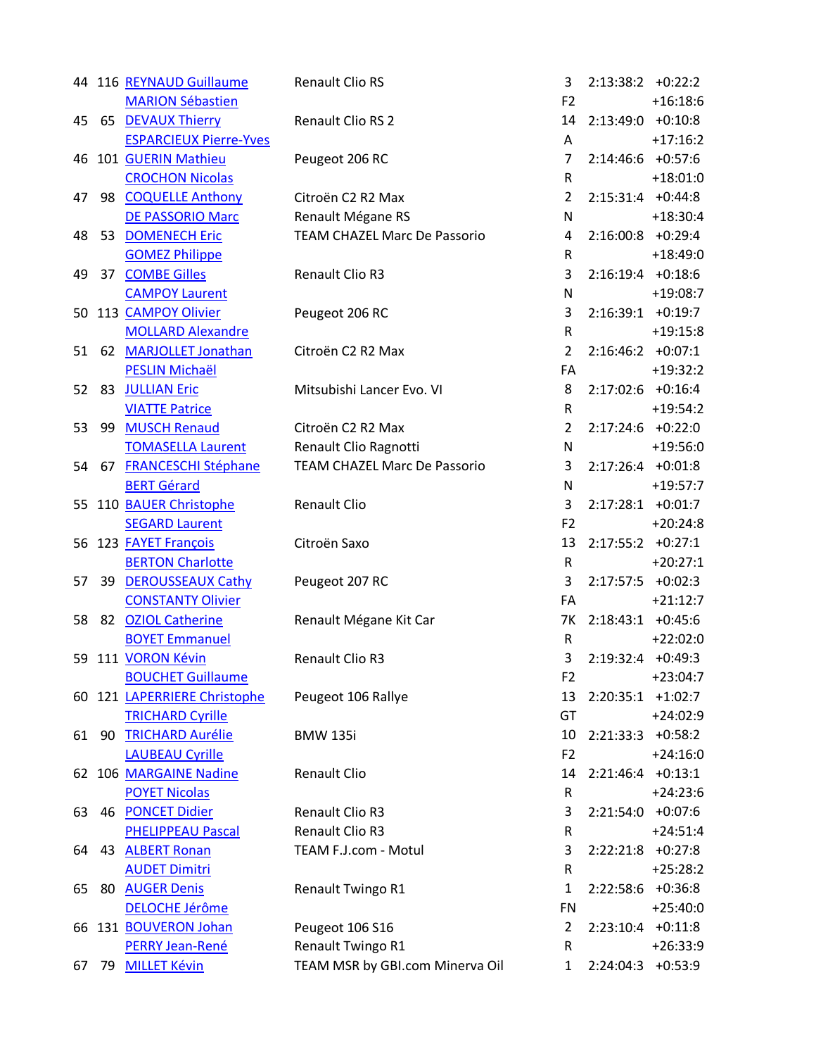|    |    | 44 116 REYNAUD Guillaume      | <b>Renault Clio RS</b>              | 3              | $2:13:38:2$ +0:22:2 |            |
|----|----|-------------------------------|-------------------------------------|----------------|---------------------|------------|
|    |    | <b>MARION Sébastien</b>       |                                     | F <sub>2</sub> |                     | $+16:18:6$ |
| 45 |    | 65 DEVAUX Thierry             | Renault Clio RS 2                   | 14             | $2:13:49:0$ +0:10:8 |            |
|    |    | <b>ESPARCIEUX Pierre-Yves</b> |                                     | Α              |                     | $+17:16:2$ |
|    |    | 46 101 GUERIN Mathieu         | Peugeot 206 RC                      | 7              | $2:14:46:6$ +0:57:6 |            |
|    |    | <b>CROCHON Nicolas</b>        |                                     | ${\sf R}$      |                     | $+18:01:0$ |
| 47 |    | 98 COQUELLE Anthony           | Citroën C2 R2 Max                   | $\overline{2}$ | $2:15:31:4$ +0:44:8 |            |
|    |    | <b>DE PASSORIO Marc</b>       | Renault Mégane RS                   | N              |                     | $+18:30:4$ |
| 48 |    | 53 DOMENECH Eric              | <b>TEAM CHAZEL Marc De Passorio</b> | 4              | $2:16:00:8$ +0:29:4 |            |
|    |    | <b>GOMEZ Philippe</b>         |                                     | ${\sf R}$      |                     | $+18:49:0$ |
| 49 |    | 37 COMBE Gilles               | Renault Clio R3                     | 3              | $2:16:19:4$ +0:18:6 |            |
|    |    | <b>CAMPOY Laurent</b>         |                                     | N              |                     | $+19:08:7$ |
|    |    | 50 113 CAMPOY Olivier         | Peugeot 206 RC                      | 3              | $2:16:39:1$ +0:19:7 |            |
|    |    | <b>MOLLARD Alexandre</b>      |                                     | ${\sf R}$      |                     | $+19:15:8$ |
| 51 |    | 62 MARJOLLET Jonathan         | Citroën C2 R2 Max                   | $\overline{2}$ | $2:16:46:2$ +0:07:1 |            |
|    |    | <b>PESLIN Michaël</b>         |                                     | FA             |                     | $+19:32:2$ |
| 52 |    | 83 JULLIAN Eric               | Mitsubishi Lancer Evo. VI           | 8              | $2:17:02:6$ +0:16:4 |            |
|    |    | <b>VIATTE Patrice</b>         |                                     | ${\sf R}$      |                     | $+19:54:2$ |
| 53 |    | 99 MUSCH Renaud               | Citroën C2 R2 Max                   | $\overline{2}$ | $2:17:24:6$ +0:22:0 |            |
|    |    | <b>TOMASELLA Laurent</b>      | Renault Clio Ragnotti               | N              |                     | $+19:56:0$ |
| 54 |    | 67 FRANCESCHI Stéphane        | <b>TEAM CHAZEL Marc De Passorio</b> | 3              | $2:17:26:4$ +0:01:8 |            |
|    |    | <b>BERT Gérard</b>            |                                     | N              |                     | $+19:57:7$ |
|    |    | 55 110 BAUER Christophe       | <b>Renault Clio</b>                 | 3              | $2:17:28:1$ +0:01:7 |            |
|    |    | <b>SEGARD Laurent</b>         |                                     | F <sub>2</sub> |                     | $+20:24:8$ |
|    |    | 56 123 <b>FAYET François</b>  | Citroën Saxo                        | 13             | $2:17:55:2$ +0:27:1 |            |
|    |    | <b>BERTON Charlotte</b>       |                                     | ${\sf R}$      |                     | $+20:27:1$ |
| 57 |    | 39 DEROUSSEAUX Cathy          | Peugeot 207 RC                      | 3              | $2:17:57:5$ +0:02:3 |            |
|    |    | <b>CONSTANTY Olivier</b>      |                                     | FA             |                     | $+21:12:7$ |
| 58 |    | 82 OZIOL Catherine            | Renault Mégane Kit Car              | 7K             | $2:18:43:1$ +0:45:6 |            |
|    |    | <b>BOYET Emmanuel</b>         |                                     | R              |                     | $+22:02:0$ |
|    |    | 59 111 VORON Kévin            | Renault Clio R3                     | 3              | $2:19:32:4$ +0:49:3 |            |
|    |    | <b>BOUCHET Guillaume</b>      |                                     | F <sub>2</sub> |                     | $+23:04:7$ |
|    |    | 60 121 LAPERRIERE Christophe  | Peugeot 106 Rallye                  | 13             | 2:20:35:1           | $+1:02:7$  |
|    |    | <b>TRICHARD Cyrille</b>       |                                     | GT             |                     | $+24:02:9$ |
| 61 |    | 90 TRICHARD Aurélie           | <b>BMW 135i</b>                     | 10             | $2:21:33:3$ +0:58:2 |            |
|    |    | <b>LAUBEAU Cyrille</b>        |                                     | F <sub>2</sub> |                     | $+24:16:0$ |
|    |    | 62 106 MARGAINE Nadine        | <b>Renault Clio</b>                 | 14             | 2:21:46:4           | $+0:13:1$  |
|    |    | <b>POYET Nicolas</b>          |                                     | ${\sf R}$      |                     | $+24:23:6$ |
| 63 |    | 46 PONCET Didier              | <b>Renault Clio R3</b>              | 3              | 2:21:54:0           | $+0:07:6$  |
|    |    | <b>PHELIPPEAU Pascal</b>      | Renault Clio R3                     | R              |                     | $+24:51:4$ |
| 64 |    | 43 ALBERT Ronan               | TEAM F.J.com - Motul                | 3              | 2:22:21:8           | $+0:27:8$  |
|    |    | <b>AUDET Dimitri</b>          |                                     | ${\sf R}$      |                     | $+25:28:2$ |
| 65 |    | 80 AUGER Denis                | Renault Twingo R1                   | 1              | $2:22:58:6$ +0:36:8 |            |
|    |    | <b>DELOCHE Jérôme</b>         |                                     | <b>FN</b>      |                     | $+25:40:0$ |
|    |    | 66 131 BOUVERON Johan         | Peugeot 106 S16                     | $\overline{2}$ | $2:23:10:4$ +0:11:8 |            |
|    |    | PERRY Jean-René               | Renault Twingo R1                   | R              |                     | $+26:33:9$ |
| 67 | 79 | <b>MILLET Kévin</b>           | TEAM MSR by GBI.com Minerva Oil     | $\mathbf{1}$   | 2:24:04:3           | $+0:53:9$  |